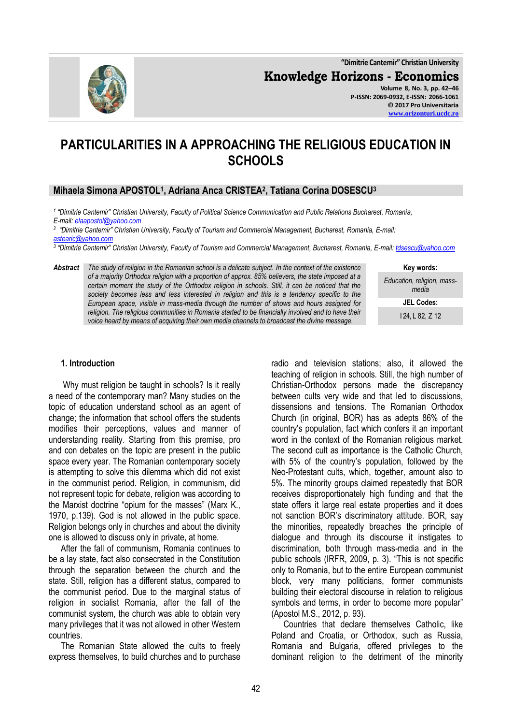**"Dimitrie Cantemir" Christian University Knowledge Horizons - Economics Volume 8, No. 3, pp. 42–46 P-ISSN: 2069-0932, E-ISSN: 2066-1061 © 2017 Pro Universitaria**

# **PARTICULARITIES IN A APPROACHING THE RELIGIOUS EDUCATION IN SCHOOLS**

# **Mihaela Simona APOSTOL<sup>1</sup> , Adriana Anca CRISTEA<sup>2</sup> , Tatiana Corina DOSESCU<sup>3</sup>**

*1 "Dimitrie Cantemir" Christian University, Faculty of Political Science Communication and Public Relations Bucharest, Romania, E-mail: [elaapostol@yahoo.com](mailto:elaapostol@yahoo.com)*

*2 "Dimitrie Cantemir" Christian University, Faculty of Tourism and Commercial Management, Bucharest, Romania, E-mail: [astearic@yahoo.com](mailto:astearic@yahoo.com)*

*3 "Dimitrie Cantemir" Christian University, Faculty of Tourism and Commercial Management, Bucharest, Romania, E-mail[: tdsescu@yahoo.com](mailto:tdsescu@yahoo.com)*

*Abstract The study of religion in the Romanian school is a delicate subject. In the context of the existence of a majority Orthodox religion with a proportion of approx. 85% believers, the state imposed at a*  certain moment the study of the Orthodox religion in schools. Still, it can be noticed that the *society becomes less and less interested in religion and this is a tendency specific to the European space, visible in mass-media through the number of shows and hours assigned for religion. The religious communities in Romania started to be financially involved and to have their voice heard by means of acquiring their own media channels to broadcast the divine message.*

| Key words:                          |
|-------------------------------------|
| Education, religion, mass-<br>media |
| <b>JEL Codes:</b>                   |
| l 24. L 82. Z 12                    |

#### **1. Introduction**

Why must religion be taught in schools? Is it really a need of the contemporary man? Many studies on the topic of education understand school as an agent of change; the information that school offers the students modifies their perceptions, values and manner of understanding reality. Starting from this premise, pro and con debates on the topic are present in the public space every year. The Romanian contemporary society is attempting to solve this dilemma which did not exist in the communist period. Religion, in communism, did not represent topic for debate, religion was according to the Marxist doctrine "opium for the masses" (Marx K., 1970, p.139). God is not allowed in the public space. Religion belongs only in churches and about the divinity one is allowed to discuss only in private, at home.

After the fall of communism, Romania continues to be a lay state, fact also consecrated in the Constitution through the separation between the church and the state. Still, religion has a different status, compared to the communist period. Due to the marginal status of religion in socialist Romania, after the fall of the communist system, the church was able to obtain very many privileges that it was not allowed in other Western countries.

The Romanian State allowed the cults to freely express themselves, to build churches and to purchase radio and television stations; also, it allowed the teaching of religion in schools. Still, the high number of Christian-Orthodox persons made the discrepancy between cults very wide and that led to discussions, dissensions and tensions. The Romanian Orthodox Church (in original, BOR) has as adepts 86% of the country's population, fact which confers it an important word in the context of the Romanian religious market. The second cult as importance is the Catholic Church, with 5% of the country's population, followed by the Neo-Protestant cults, which, together, amount also to 5%. The minority groups claimed repeatedly that BOR receives disproportionately high funding and that the state offers it large real estate properties and it does not sanction BOR's discriminatory attitude. BOR, say the minorities, repeatedly breaches the principle of dialogue and through its discourse it instigates to discrimination, both through mass-media and in the public schools (IRFR, 2009, p. 3). "This is not specific only to Romania, but to the entire European communist block, very many politicians, former communists building their electoral discourse in relation to religious symbols and terms, in order to become more popular" (Apostol M.S., 2012, p. 93).

Countries that declare themselves Catholic, like Poland and Croatia, or Orthodox, such as Russia, Romania and Bulgaria, offered privileges to the dominant religion to the detriment of the minority

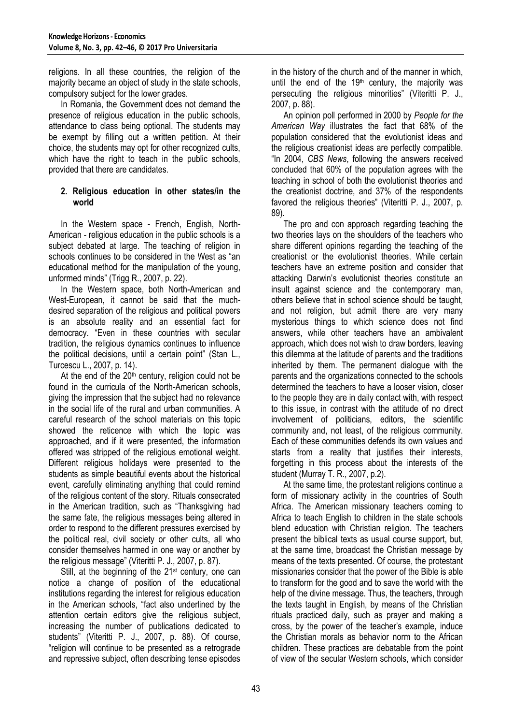religions. In all these countries, the religion of the majority became an object of study in the state schools, compulsory subject for the lower grades.

In Romania, the Government does not demand the presence of religious education in the public schools, attendance to class being optional. The students may be exempt by filling out a written petition. At their choice, the students may opt for other recognized cults, which have the right to teach in the public schools, provided that there are candidates.

#### **2. Religious education in other states/in the world**

In the Western space - French, English, North-American - religious education in the public schools is a subject debated at large. The teaching of religion in schools continues to be considered in the West as "an educational method for the manipulation of the young, unformed minds" (Trigg R., 2007, p. 22).

In the Western space, both North-American and West-European, it cannot be said that the muchdesired separation of the religious and political powers is an absolute reality and an essential fact for democracy. "Even in these countries with secular tradition, the religious dynamics continues to influence the political decisions, until a certain point" (Stan L., Turcescu L., 2007, p. 14).

At the end of the  $20<sup>th</sup>$  century, religion could not be found in the curricula of the North-American schools, giving the impression that the subject had no relevance in the social life of the rural and urban communities. A careful research of the school materials on this topic showed the reticence with which the topic was approached, and if it were presented, the information offered was stripped of the religious emotional weight. Different religious holidays were presented to the students as simple beautiful events about the historical event, carefully eliminating anything that could remind of the religious content of the story. Rituals consecrated in the American tradition, such as "Thanksgiving had the same fate, the religious messages being altered in order to respond to the different pressures exercised by the political real, civil society or other cults, all who consider themselves harmed in one way or another by the religious message" (Viteritti P. J., 2007, p. 87).

Still, at the beginning of the 21<sup>st</sup> century, one can notice a change of position of the educational institutions regarding the interest for religious education in the American schools, "fact also underlined by the attention certain editors give the religious subject, increasing the number of publications dedicated to students" (Viteritti P. J., 2007, p. 88). Of course, "religion will continue to be presented as a retrograde and repressive subject, often describing tense episodes

in the history of the church and of the manner in which, until the end of the  $19<sup>th</sup>$  century, the majority was persecuting the religious minorities" (Viteritti P. J., 2007, p. 88).

An opinion poll performed in 2000 by *People for the American Way* illustrates the fact that 68% of the population considered that the evolutionist ideas and the religious creationist ideas are perfectly compatible. "In 2004, *CBS News*, following the answers received concluded that 60% of the population agrees with the teaching in school of both the evolutionist theories and the creationist doctrine, and 37% of the respondents favored the religious theories" (Viteritti P. J., 2007, p. 89).

The pro and con approach regarding teaching the two theories lays on the shoulders of the teachers who share different opinions regarding the teaching of the creationist or the evolutionist theories. While certain teachers have an extreme position and consider that attacking Darwin's evolutionist theories constitute an insult against science and the contemporary man, others believe that in school science should be taught, and not religion, but admit there are very many mysterious things to which science does not find answers, while other teachers have an ambivalent approach, which does not wish to draw borders, leaving this dilemma at the latitude of parents and the traditions inherited by them. The permanent dialogue with the parents and the organizations connected to the schools determined the teachers to have a looser vision, closer to the people they are in daily contact with, with respect to this issue, in contrast with the attitude of no direct involvement of politicians, editors, the scientific community and, not least, of the religious community. Each of these communities defends its own values and starts from a reality that justifies their interests, forgetting in this process about the interests of the student (Murray T. R., 2007, p.2).

At the same time, the protestant religions continue a form of missionary activity in the countries of South Africa. The American missionary teachers coming to Africa to teach English to children in the state schools blend education with Christian religion. The teachers present the biblical texts as usual course support, but, at the same time, broadcast the Christian message by means of the texts presented. Of course, the protestant missionaries consider that the power of the Bible is able to transform for the good and to save the world with the help of the divine message. Thus, the teachers, through the texts taught in English, by means of the Christian rituals practiced daily, such as prayer and making a cross, by the power of the teacher's example, induce the Christian morals as behavior norm to the African children. These practices are debatable from the point of view of the secular Western schools, which consider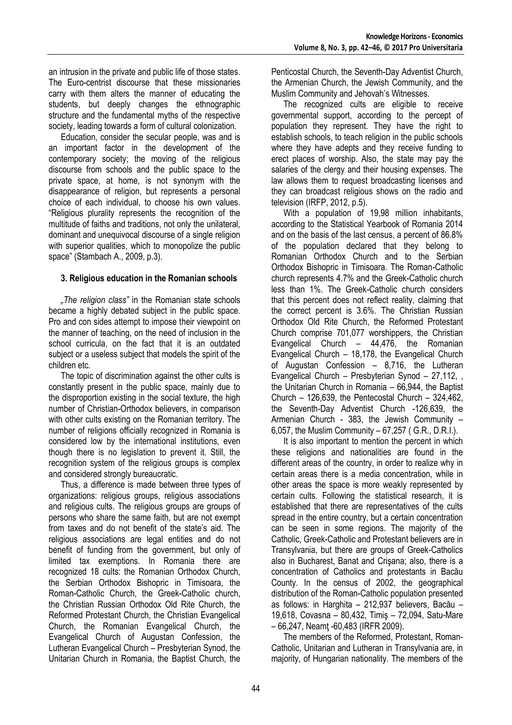an intrusion in the private and public life of those states. The Euro-centrist discourse that these missionaries carry with them alters the manner of educating the students, but deeply changes the ethnographic structure and the fundamental myths of the respective society, leading towards a form of cultural colonization.

Education, consider the secular people, was and is an important factor in the development of the contemporary society; the moving of the religious discourse from schools and the public space to the private space, at home, is not synonym with the disappearance of religion, but represents a personal choice of each individual, to choose his own values. "Religious plurality represents the recognition of the multitude of faiths and traditions, not only the unilateral, dominant and unequivocal discourse of a single religion with superior qualities, which to monopolize the public space" (Stambach A., 2009, p.3).

## **3. Religious education in the Romanian schools**

*"The religion class"* in the Romanian state schools became a highly debated subject in the public space. Pro and con sides attempt to impose their viewpoint on the manner of teaching, on the need of inclusion in the school curricula, on the fact that it is an outdated subject or a useless subject that models the spirit of the children etc.

The topic of discrimination against the other cults is constantly present in the public space, mainly due to the disproportion existing in the social texture, the high number of Christian-Orthodox believers, in comparison with other cults existing on the Romanian territory. The number of religions officially recognized in Romania is considered low by the international institutions, even though there is no legislation to prevent it. Still, the recognition system of the religious groups is complex and considered strongly bureaucratic.

Thus, a difference is made between three types of organizations: religious groups, religious associations and religious cults. The religious groups are groups of persons who share the same faith, but are not exempt from taxes and do not benefit of the state's aid. The religious associations are legal entities and do not benefit of funding from the government, but only of limited tax exemptions. In Romania there are recognized 18 cults: the Romanian Orthodox Church, the Serbian Orthodox Bishopric in Timisoara, the Roman-Catholic Church, the Greek-Catholic church, the Christian Russian Orthodox Old Rite Church, the Reformed Protestant Church, the Christian Evangelical Church, the Romanian Evangelical Church, the Evangelical Church of Augustan Confession, the Lutheran Evangelical Church – Presbyterian Synod, the Unitarian Church in Romania, the Baptist Church, the

Penticostal Church, the Seventh-Day Adventist Church, the Armenian Church, the Jewish Community, and the Muslim Community and Jehovah's Witnesses.

The recognized cults are eligible to receive governmental support, according to the percept of population they represent. They have the right to establish schools, to teach religion in the public schools where they have adepts and they receive funding to erect places of worship. Also, the state may pay the salaries of the clergy and their housing expenses. The law allows them to request broadcasting licenses and they can broadcast religious shows on the radio and television (IRFP, 2012, p.5).

With a population of 19,98 million inhabitants, according to the Statistical Yearbook of Romania 2014 and on the basis of the last census, a percent of 86.8% of the population declared that they belong to Romanian Orthodox Church and to the Serbian Orthodox Bishopric in Timisoara. The Roman-Catholic church represents 4.7% and the Greek-Catholic church less than 1%. The Greek-Catholic church considers that this percent does not reflect reality, claiming that the correct percent is 3.6%. The Christian Russian Orthodox Old Rite Church, the Reformed Protestant Church comprise 701,077 worshippers, the Christian Evangelical Church – 44,476, the Romanian Evangelical Church – 18,178, the Evangelical Church of Augustan Confession – 8,716, the Lutheran Evangelical Church – Presbyterian Synod –  $27,112,$ the Unitarian Church in Romania – 66,944, the Baptist Church – 126,639, the Pentecostal Church – 324,462, the Seventh-Day Adventist Church -126,639, the Armenian Church - 383, the Jewish Community – 6,057, the Muslim Community – 67,257 ( G.R., D.R.I.).

It is also important to mention the percent in which these religions and nationalities are found in the different areas of the country, in order to realize why in certain areas there is a media concentration, while in other areas the space is more weakly represented by certain cults. Following the statistical research, it is established that there are representatives of the cults spread in the entire country, but a certain concentration can be seen in some regions. The majority of the Catholic, Greek-Catholic and Protestant believers are in Transylvania, but there are groups of Greek-Catholics also in Bucharest, Banat and Crişana; also, there is a concentration of Catholics and protestants in Bacău County. In the census of 2002, the geographical distribution of the Roman-Catholic population presented as follows: in Harghita – 212,937 believers, Bacău – 19,618, Covasna – 80,432, Timiş – 72,094, Satu-Mare – 66,247, Neamţ -60,483 (IRFR 2009).

The members of the Reformed, Protestant, Roman-Catholic, Unitarian and Lutheran in Transylvania are, in majority, of Hungarian nationality. The members of the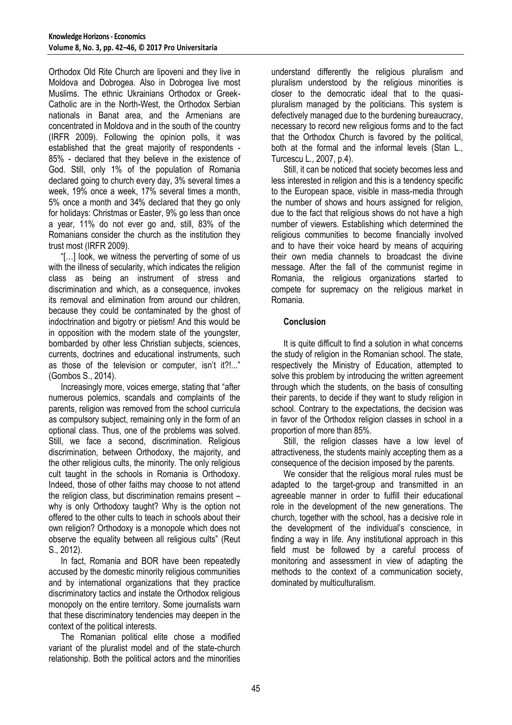Orthodox Old Rite Church are lipoveni and they live in Moldova and Dobrogea. Also in Dobrogea live most Muslims. The ethnic Ukrainians Orthodox or Greek-Catholic are in the North-West, the Orthodox Serbian nationals in Banat area, and the Armenians are concentrated in Moldova and in the south of the country (IRFR 2009). Following the opinion polls, it was established that the great majority of respondents - 85% - declared that they believe in the existence of God. Still, only 1% of the population of Romania declared going to church every day, 3% several times a week, 19% once a week, 17% several times a month, 5% once a month and 34% declared that they go only for holidays: Christmas or Easter, 9% go less than once a year, 11% do not ever go and, still, 83% of the Romanians consider the church as the institution they trust most (IRFR 2009).

"[…] look, we witness the perverting of some of us with the illness of secularity, which indicates the religion class as being an instrument of stress and discrimination and which, as a consequence, invokes its removal and elimination from around our children, because they could be contaminated by the ghost of indoctrination and bigotry or pietism! And this would be in opposition with the modern state of the youngster, bombarded by other less Christian subjects, sciences, currents, doctrines and educational instruments, such as those of the television or computer, isn't it?!..." (Gombos S., 2014).

Increasingly more, voices emerge, stating that "after numerous polemics, scandals and complaints of the parents, religion was removed from the school curricula as compulsory subject, remaining only in the form of an optional class. Thus, one of the problems was solved. Still, we face a second, discrimination. Religious discrimination, between Orthodoxy, the majority, and the other religious cults, the minority. The only religious cult taught in the schools in Romania is Orthodoxy. Indeed, those of other faiths may choose to not attend the religion class, but discrimination remains present – why is only Orthodoxy taught? Why is the option not offered to the other cults to teach in schools about their own religion? Orthodoxy is a monopole which does not observe the equality between all religious cults" (Reut S., 2012).

In fact, Romania and BOR have been repeatedly accused by the domestic minority religious communities and by international organizations that they practice discriminatory tactics and instate the Orthodox religious monopoly on the entire territory. Some journalists warn that these discriminatory tendencies may deepen in the context of the political interests.

The Romanian political elite chose a modified variant of the pluralist model and of the state-church relationship. Both the political actors and the minorities understand differently the religious pluralism and pluralism understood by the religious minorities is closer to the democratic ideal that to the quasipluralism managed by the politicians. This system is defectively managed due to the burdening bureaucracy, necessary to record new religious forms and to the fact that the Orthodox Church is favored by the political, both at the formal and the informal levels (Stan L., Turcescu L., 2007, p.4).

Still, it can be noticed that society becomes less and less interested in religion and this is a tendency specific to the European space, visible in mass-media through the number of shows and hours assigned for religion, due to the fact that religious shows do not have a high number of viewers. Establishing which determined the religious communities to become financially involved and to have their voice heard by means of acquiring their own media channels to broadcast the divine message. After the fall of the communist regime in Romania, the religious organizations started to compete for supremacy on the religious market in Romania.

## **Conclusion**

It is quite difficult to find a solution in what concerns the study of religion in the Romanian school. The state, respectively the Ministry of Education, attempted to solve this problem by introducing the written agreement through which the students, on the basis of consulting their parents, to decide if they want to study religion in school. Contrary to the expectations, the decision was in favor of the Orthodox religion classes in school in a proportion of more than 85%.

Still, the religion classes have a low level of attractiveness, the students mainly accepting them as a consequence of the decision imposed by the parents.

We consider that the religious moral rules must be adapted to the target-group and transmitted in an agreeable manner in order to fulfill their educational role in the development of the new generations. The church, together with the school, has a decisive role in the development of the individual's conscience, in finding a way in life. Any institutional approach in this field must be followed by a careful process of monitoring and assessment in view of adapting the methods to the context of a communication society, dominated by multiculturalism.